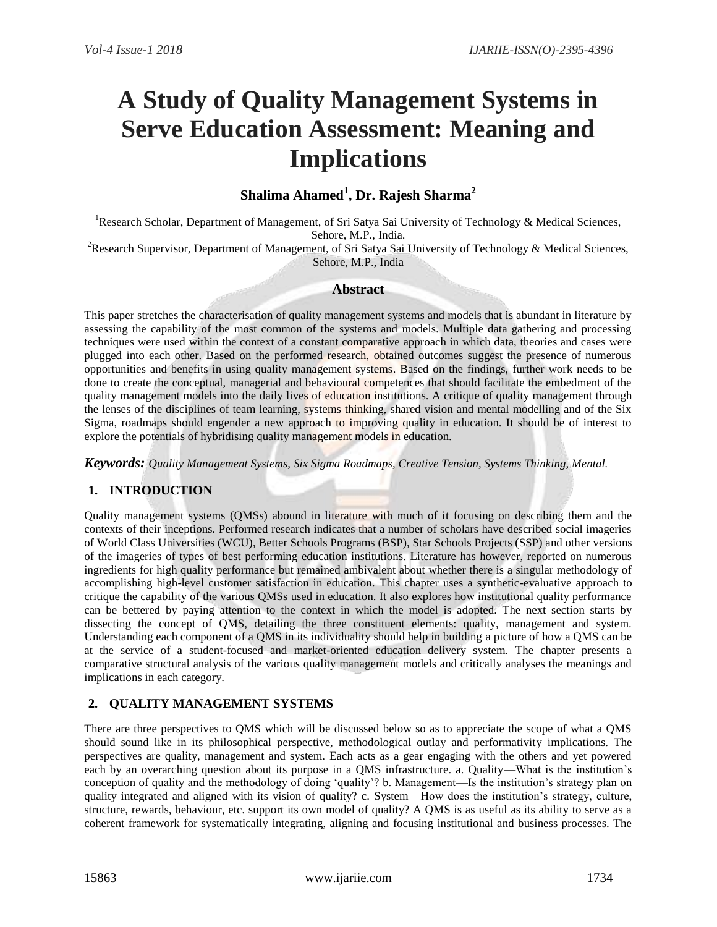# **A Study of Quality Management Systems in Serve Education Assessment: Meaning and Implications**

# **Shalima Ahamed<sup>1</sup> , Dr. Rajesh Sharma<sup>2</sup>**

<sup>1</sup>Research Scholar, Department of Management, of Sri Satya Sai University of Technology & Medical Sciences, Sehore, M.P., India.

<sup>2</sup>Research Supervisor, Department of Management, of Sri Satya Sai University of Technology & Medical Sciences, Sehore, M.P., India

#### **Abstract**

This paper stretches the characterisation of quality management systems and models that is abundant in literature by assessing the capability of the most common of the systems and models. Multiple data gathering and processing techniques were used within the context of a constant comparative approach in which data, theories and cases were plugged into each other. Based on the performed research, obtained outcomes suggest the presence of numerous opportunities and benefits in using quality management systems. Based on the findings, further work needs to be done to create the conceptual, managerial and behavioural competences that should facilitate the embedment of the quality management models into the daily lives of education institutions. A critique of quality management through the lenses of the disciplines of team learning, systems thinking, shared vision and mental modelling and of the Six Sigma, roadmaps should engender a new approach to improving quality in education. It should be of interest to explore the potentials of hybridising quality management models in education.

*Keywords: Quality Management Systems, Six Sigma Roadmaps, Creative Tension, Systems Thinking, Mental.*

# **1. INTRODUCTION**

Quality management systems (QMSs) abound in literature with much of it focusing on describing them and the contexts of their inceptions. Performed research indicates that a number of scholars have described social imageries of World Class Universities (WCU), Better Schools Programs (BSP), Star Schools Projects (SSP) and other versions of the imageries of types of best performing education institutions. Literature has however, reported on numerous ingredients for high quality performance but remained ambivalent about whether there is a singular methodology of accomplishing high-level customer satisfaction in education. This chapter uses a synthetic-evaluative approach to critique the capability of the various QMSs used in education. It also explores how institutional quality performance can be bettered by paying attention to the context in which the model is adopted. The next section starts by dissecting the concept of QMS, detailing the three constituent elements: quality, management and system. Understanding each component of a QMS in its individuality should help in building a picture of how a QMS can be at the service of a student-focused and market-oriented education delivery system. The chapter presents a comparative structural analysis of the various quality management models and critically analyses the meanings and implications in each category.

# **2. QUALITY MANAGEMENT SYSTEMS**

There are three perspectives to QMS which will be discussed below so as to appreciate the scope of what a QMS should sound like in its philosophical perspective, methodological outlay and performativity implications. The perspectives are quality, management and system. Each acts as a gear engaging with the others and yet powered each by an overarching question about its purpose in a QMS infrastructure. a. Quality—What is the institution's conception of quality and the methodology of doing 'quality'? b. Management—Is the institution's strategy plan on quality integrated and aligned with its vision of quality? c. System—How does the institution's strategy, culture, structure, rewards, behaviour, etc. support its own model of quality? A QMS is as useful as its ability to serve as a coherent framework for systematically integrating, aligning and focusing institutional and business processes. The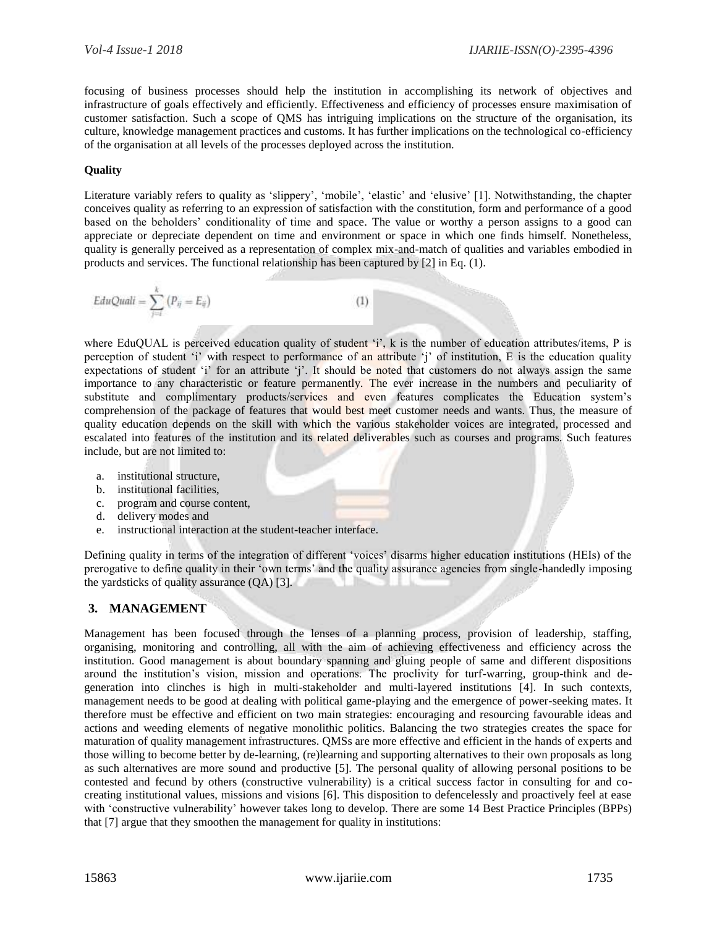focusing of business processes should help the institution in accomplishing its network of objectives and infrastructure of goals effectively and efficiently. Effectiveness and efficiency of processes ensure maximisation of customer satisfaction. Such a scope of QMS has intriguing implications on the structure of the organisation, its culture, knowledge management practices and customs. It has further implications on the technological co-efficiency of the organisation at all levels of the processes deployed across the institution.

#### **Quality**

Literature variably refers to quality as 'slippery', 'mobile', 'elastic' and 'elusive' [1]. Notwithstanding, the chapter conceives quality as referring to an expression of satisfaction with the constitution, form and performance of a good based on the beholders' conditionality of time and space. The value or worthy a person assigns to a good can appreciate or depreciate dependent on time and environment or space in which one finds himself. Nonetheless, quality is generally perceived as a representation of complex mix-and-match of qualities and variables embodied in products and services. The functional relationship has been captured by [2] in Eq. (1).

$$
EduQuali = \sum_{j=i}^{k} (P_{ij} = E_{ij})
$$
 (1)

where EduQUAL is perceived education quality of student 'i', k is the number of education attributes/items, P is perception of student 'i' with respect to performance of an attribute 'j' of institution, E is the education quality expectations of student 'i' for an attribute 'j'. It should be noted that customers do not always assign the same importance to any characteristic or feature permanently. The ever increase in the numbers and peculiarity of substitute and complimentary products/services and even features complicates the Education system's comprehension of the package of features that would best meet customer needs and wants. Thus, the measure of quality education depends on the skill with which the various stakeholder voices are integrated, processed and escalated into features of the institution and its related deliverables such as courses and programs. Such features include, but are not limited to:

- a. institutional structure,
- b. institutional facilities,
- c. program and course content,
- d. delivery modes and
- e. instructional interaction at the student-teacher interface.

Defining quality in terms of the integration of different 'voices' disarms higher education institutions (HEIs) of the prerogative to define quality in their 'own terms' and the quality assurance agencies from single-handedly imposing the yardsticks of quality assurance (QA) [3].

# **3. MANAGEMENT**

Management has been focused through the lenses of a planning process, provision of leadership, staffing, organising, monitoring and controlling, all with the aim of achieving effectiveness and efficiency across the institution. Good management is about boundary spanning and gluing people of same and different dispositions around the institution's vision, mission and operations. The proclivity for turf-warring, group-think and degeneration into clinches is high in multi-stakeholder and multi-layered institutions [4]. In such contexts, management needs to be good at dealing with political game-playing and the emergence of power-seeking mates. It therefore must be effective and efficient on two main strategies: encouraging and resourcing favourable ideas and actions and weeding elements of negative monolithic politics. Balancing the two strategies creates the space for maturation of quality management infrastructures. QMSs are more effective and efficient in the hands of experts and those willing to become better by de-learning, (re)learning and supporting alternatives to their own proposals as long as such alternatives are more sound and productive [5]. The personal quality of allowing personal positions to be contested and fecund by others (constructive vulnerability) is a critical success factor in consulting for and cocreating institutional values, missions and visions [6]. This disposition to defencelessly and proactively feel at ease with 'constructive vulnerability' however takes long to develop. There are some 14 Best Practice Principles (BPPs) that [7] argue that they smoothen the management for quality in institutions: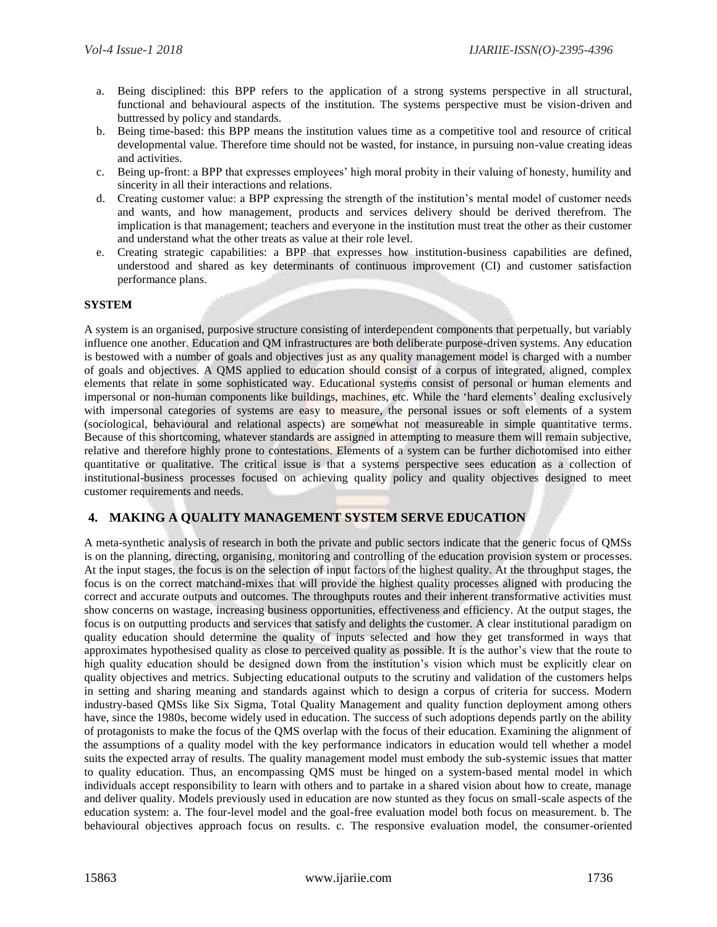- a. Being disciplined: this BPP refers to the application of a strong systems perspective in all structural, functional and behavioural aspects of the institution. The systems perspective must be vision-driven and buttressed by policy and standards.
- b. Being time-based: this BPP means the institution values time as a competitive tool and resource of critical developmental value. Therefore time should not be wasted, for instance, in pursuing non-value creating ideas and activities.
- c. Being up-front: a BPP that expresses employees' high moral probity in their valuing of honesty, humility and sincerity in all their interactions and relations.
- d. Creating customer value: a BPP expressing the strength of the institution's mental model of customer needs and wants, and how management, products and services delivery should be derived therefrom. The implication is that management; teachers and everyone in the institution must treat the other as their customer and understand what the other treats as value at their role level.
- e. Creating strategic capabilities: a BPP that expresses how institution-business capabilities are defined, understood and shared as key determinants of continuous improvement (CI) and customer satisfaction performance plans.

#### **SYSTEM**

A system is an organised, purposive structure consisting of interdependent components that perpetually, but variably influence one another. Education and QM infrastructures are both deliberate purpose-driven systems. Any education is bestowed with a number of goals and objectives just as any quality management model is charged with a number of goals and objectives. A QMS applied to education should consist of a corpus of integrated, aligned, complex elements that relate in some sophisticated way. Educational systems consist of personal or human elements and impersonal or non-human components like buildings, machines, etc. While the 'hard elements' dealing exclusively with impersonal categories of systems are easy to measure, the personal issues or soft elements of a system (sociological, behavioural and relational aspects) are somewhat not measureable in simple quantitative terms. Because of this shortcoming, whatever standards are assigned in attempting to measure them will remain subjective, relative and therefore highly prone to contestations. Elements of a system can be further dichotomised into either quantitative or qualitative. The critical issue is that a systems perspective sees education as a collection of institutional-business processes focused on achieving quality policy and quality objectives designed to meet customer requirements and needs.

# **4. MAKING A QUALITY MANAGEMENT SYSTEM SERVE EDUCATION**

A meta-synthetic analysis of research in both the private and public sectors indicate that the generic focus of QMSs is on the planning, directing, organising, monitoring and controlling of the education provision system or processes. At the input stages, the focus is on the selection of input factors of the highest quality. At the throughput stages, the focus is on the correct matchand-mixes that will provide the highest quality processes aligned with producing the correct and accurate outputs and outcomes. The throughputs routes and their inherent transformative activities must show concerns on wastage, increasing business opportunities, effectiveness and efficiency. At the output stages, the focus is on outputting products and services that satisfy and delights the customer. A clear institutional paradigm on quality education should determine the quality of inputs selected and how they get transformed in ways that approximates hypothesised quality as close to perceived quality as possible. It is the author's view that the route to high quality education should be designed down from the institution's vision which must be explicitly clear on quality objectives and metrics. Subjecting educational outputs to the scrutiny and validation of the customers helps in setting and sharing meaning and standards against which to design a corpus of criteria for success. Modern industry-based QMSs like Six Sigma, Total Quality Management and quality function deployment among others have, since the 1980s, become widely used in education. The success of such adoptions depends partly on the ability of protagonists to make the focus of the QMS overlap with the focus of their education. Examining the alignment of the assumptions of a quality model with the key performance indicators in education would tell whether a model suits the expected array of results. The quality management model must embody the sub-systemic issues that matter to quality education. Thus, an encompassing QMS must be hinged on a system-based mental model in which individuals accept responsibility to learn with others and to partake in a shared vision about how to create, manage and deliver quality. Models previously used in education are now stunted as they focus on small-scale aspects of the education system: a. The four-level model and the goal-free evaluation model both focus on measurement. b. The behavioural objectives approach focus on results. c. The responsive evaluation model, the consumer-oriented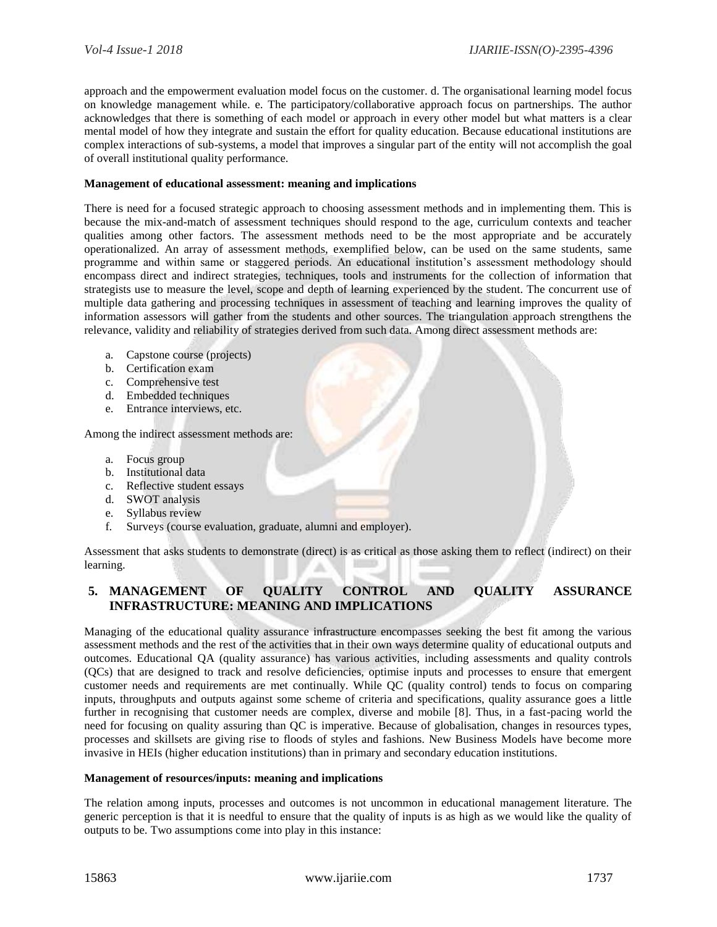approach and the empowerment evaluation model focus on the customer. d. The organisational learning model focus on knowledge management while. e. The participatory/collaborative approach focus on partnerships. The author acknowledges that there is something of each model or approach in every other model but what matters is a clear mental model of how they integrate and sustain the effort for quality education. Because educational institutions are complex interactions of sub-systems, a model that improves a singular part of the entity will not accomplish the goal of overall institutional quality performance.

#### **Management of educational assessment: meaning and implications**

There is need for a focused strategic approach to choosing assessment methods and in implementing them. This is because the mix-and-match of assessment techniques should respond to the age, curriculum contexts and teacher qualities among other factors. The assessment methods need to be the most appropriate and be accurately operationalized. An array of assessment methods, exemplified below, can be used on the same students, same programme and within same or staggered periods. An educational institution's assessment methodology should encompass direct and indirect strategies, techniques, tools and instruments for the collection of information that strategists use to measure the level, scope and depth of learning experienced by the student. The concurrent use of multiple data gathering and processing techniques in assessment of teaching and learning improves the quality of information assessors will gather from the students and other sources. The triangulation approach strengthens the relevance, validity and reliability of strategies derived from such data. Among direct assessment methods are:

- a. Capstone course (projects)
- b. Certification exam
- c. Comprehensive test
- d. Embedded techniques
- e. Entrance interviews, etc.

Among the indirect assessment methods are:

- a. Focus group
- b. Institutional data
- c. Reflective student essays
- d. SWOT analysis
- e. Syllabus review
- f. Surveys (course evaluation, graduate, alumni and employer).

Assessment that asks students to demonstrate (direct) is as critical as those asking them to reflect (indirect) on their learning.

# **5. MANAGEMENT OF QUALITY CONTROL AND QUALITY ASSURANCE INFRASTRUCTURE: MEANING AND IMPLICATIONS**

Managing of the educational quality assurance infrastructure encompasses seeking the best fit among the various assessment methods and the rest of the activities that in their own ways determine quality of educational outputs and outcomes. Educational QA (quality assurance) has various activities, including assessments and quality controls (QCs) that are designed to track and resolve deficiencies, optimise inputs and processes to ensure that emergent customer needs and requirements are met continually. While QC (quality control) tends to focus on comparing inputs, throughputs and outputs against some scheme of criteria and specifications, quality assurance goes a little further in recognising that customer needs are complex, diverse and mobile [8]. Thus, in a fast-pacing world the need for focusing on quality assuring than QC is imperative. Because of globalisation, changes in resources types, processes and skillsets are giving rise to floods of styles and fashions. New Business Models have become more invasive in HEIs (higher education institutions) than in primary and secondary education institutions.

#### **Management of resources/inputs: meaning and implications**

The relation among inputs, processes and outcomes is not uncommon in educational management literature. The generic perception is that it is needful to ensure that the quality of inputs is as high as we would like the quality of outputs to be. Two assumptions come into play in this instance: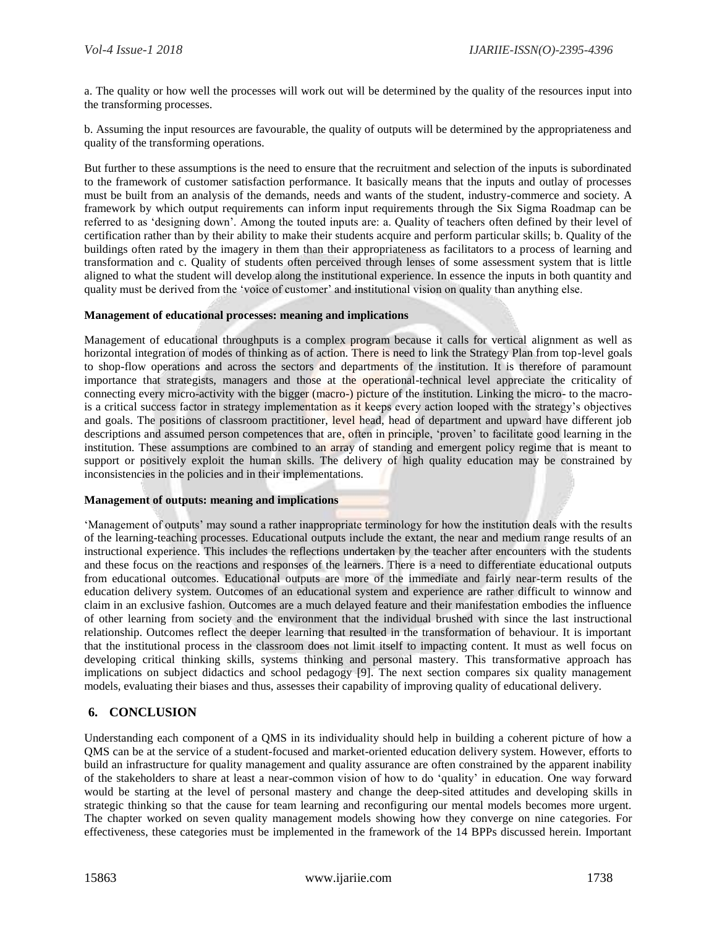a. The quality or how well the processes will work out will be determined by the quality of the resources input into the transforming processes.

b. Assuming the input resources are favourable, the quality of outputs will be determined by the appropriateness and quality of the transforming operations.

But further to these assumptions is the need to ensure that the recruitment and selection of the inputs is subordinated to the framework of customer satisfaction performance. It basically means that the inputs and outlay of processes must be built from an analysis of the demands, needs and wants of the student, industry-commerce and society. A framework by which output requirements can inform input requirements through the Six Sigma Roadmap can be referred to as 'designing down'. Among the touted inputs are: a. Quality of teachers often defined by their level of certification rather than by their ability to make their students acquire and perform particular skills; b. Quality of the buildings often rated by the imagery in them than their appropriateness as facilitators to a process of learning and transformation and c. Quality of students often perceived through lenses of some assessment system that is little aligned to what the student will develop along the institutional experience. In essence the inputs in both quantity and quality must be derived from the 'voice of customer' and institutional vision on quality than anything else.

#### **Management of educational processes: meaning and implications**

Management of educational throughputs is a complex program because it calls for vertical alignment as well as horizontal integration of modes of thinking as of action. There is need to link the Strategy Plan from top-level goals to shop-flow operations and across the sectors and departments of the institution. It is therefore of paramount importance that strategists, managers and those at the operational-technical level appreciate the criticality of connecting every micro-activity with the bigger (macro-) picture of the institution. Linking the micro- to the macrois a critical success factor in strategy implementation as it keeps every action looped with the strategy's objectives and goals. The positions of classroom practitioner, level head, head of department and upward have different job descriptions and assumed person competences that are, often in principle, 'proven' to facilitate good learning in the institution. These assumptions are combined to an array of standing and emergent policy regime that is meant to support or positively exploit the human skills. The delivery of high quality education may be constrained by inconsistencies in the policies and in their implementations.

#### **Management of outputs: meaning and implications**

'Management of outputs' may sound a rather inappropriate terminology for how the institution deals with the results of the learning-teaching processes. Educational outputs include the extant, the near and medium range results of an instructional experience. This includes the reflections undertaken by the teacher after encounters with the students and these focus on the reactions and responses of the learners. There is a need to differentiate educational outputs from educational outcomes. Educational outputs are more of the immediate and fairly near-term results of the education delivery system. Outcomes of an educational system and experience are rather difficult to winnow and claim in an exclusive fashion. Outcomes are a much delayed feature and their manifestation embodies the influence of other learning from society and the environment that the individual brushed with since the last instructional relationship. Outcomes reflect the deeper learning that resulted in the transformation of behaviour. It is important that the institutional process in the classroom does not limit itself to impacting content. It must as well focus on developing critical thinking skills, systems thinking and personal mastery. This transformative approach has implications on subject didactics and school pedagogy [9]. The next section compares six quality management models, evaluating their biases and thus, assesses their capability of improving quality of educational delivery.

# **6. CONCLUSION**

Understanding each component of a QMS in its individuality should help in building a coherent picture of how a QMS can be at the service of a student-focused and market-oriented education delivery system. However, efforts to build an infrastructure for quality management and quality assurance are often constrained by the apparent inability of the stakeholders to share at least a near-common vision of how to do 'quality' in education. One way forward would be starting at the level of personal mastery and change the deep-sited attitudes and developing skills in strategic thinking so that the cause for team learning and reconfiguring our mental models becomes more urgent. The chapter worked on seven quality management models showing how they converge on nine categories. For effectiveness, these categories must be implemented in the framework of the 14 BPPs discussed herein. Important